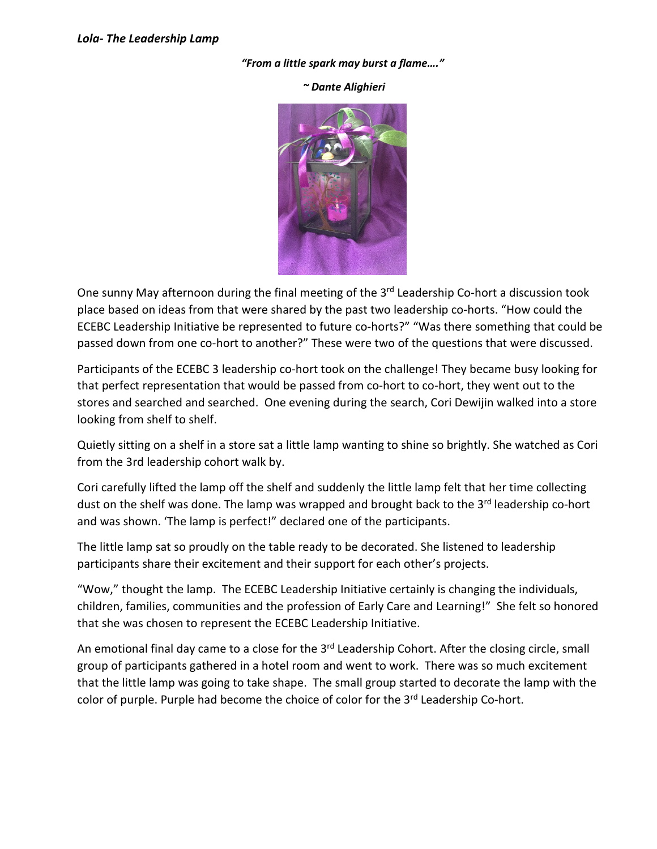## "From a little spark may burst a flame…."

## ~ Dante Alighieri



One sunny May afternoon during the final meeting of the 3<sup>rd</sup> Leadership Co-hort a discussion took place based on ideas from that were shared by the past two leadership co-horts. "How could the ECEBC Leadership Initiative be represented to future co-horts?" "Was there something that could be passed down from one co-hort to another?" These were two of the questions that were discussed.

Participants of the ECEBC 3 leadership co-hort took on the challenge! They became busy looking for that perfect representation that would be passed from co-hort to co-hort, they went out to the stores and searched and searched. One evening during the search, Cori Dewijin walked into a store looking from shelf to shelf.

Quietly sitting on a shelf in a store sat a little lamp wanting to shine so brightly. She watched as Cori from the 3rd leadership cohort walk by.

Cori carefully lifted the lamp off the shelf and suddenly the little lamp felt that her time collecting dust on the shelf was done. The lamp was wrapped and brought back to the 3<sup>rd</sup> leadership co-hort and was shown. 'The lamp is perfect!" declared one of the participants.

The little lamp sat so proudly on the table ready to be decorated. She listened to leadership participants share their excitement and their support for each other's projects.

"Wow," thought the lamp. The ECEBC Leadership Initiative certainly is changing the individuals, children, families, communities and the profession of Early Care and Learning!" She felt so honored that she was chosen to represent the ECEBC Leadership Initiative.

An emotional final day came to a close for the 3<sup>rd</sup> Leadership Cohort. After the closing circle, small group of participants gathered in a hotel room and went to work. There was so much excitement that the little lamp was going to take shape. The small group started to decorate the lamp with the color of purple. Purple had become the choice of color for the 3<sup>rd</sup> Leadership Co-hort.